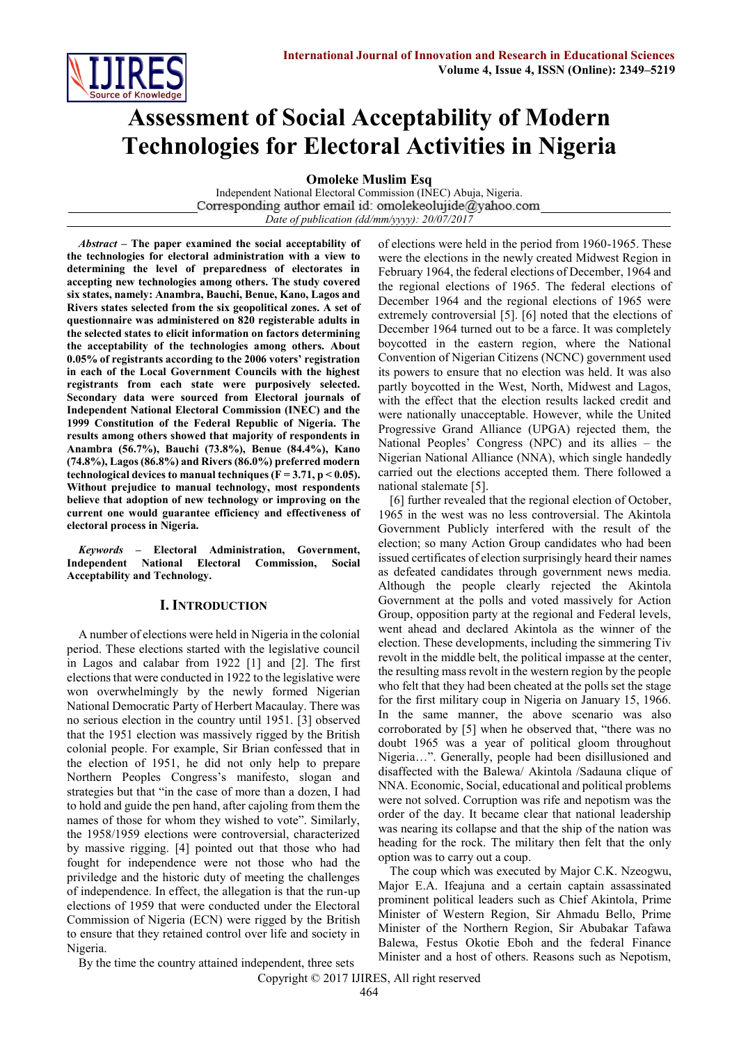

# **Assessment of Social Acceptability of Modern Technologies for Electoral Activities in Nigeria**

**Omoleke Muslim Esq**

Independent National Electoral Commission (INEC) Abuja, Nigeria. Corresponding author email id: omolekeolujide@yahoo.com *Date of publication (dd/mm/yyyy): 20/07/2017*

*Abstract* **– The paper examined the social acceptability of the technologies for electoral administration with a view to determining the level of preparedness of electorates in accepting new technologies among others. The study covered six states, namely: Anambra, Bauchi, Benue, Kano, Lagos and Rivers states selected from the six geopolitical zones. A set of questionnaire was administered on 820 registerable adults in the selected states to elicit information on factors determining the acceptability of the technologies among others. About 0.05% of registrants according to the 2006 voters' registration in each of the Local Government Councils with the highest registrants from each state were purposively selected. Secondary data were sourced from Electoral journals of Independent National Electoral Commission (INEC) and the 1999 Constitution of the Federal Republic of Nigeria. The results among others showed that majority of respondents in Anambra (56.7%), Bauchi (73.8%), Benue (84.4%), Kano (74.8%), Lagos (86.8%) and Rivers (86.0%) preferred modern technological devices to manual techniques (F = 3.71, p < 0.05). Without prejudice to manual technology, most respondents believe that adoption of new technology or improving on the current one would guarantee efficiency and effectiveness of electoral process in Nigeria.**

*Keywords* **– Electoral Administration, Government, Independent National Electoral Commission, Social Acceptability and Technology.**

## **I. INTRODUCTION**

A number of elections were held in Nigeria in the colonial period. These elections started with the legislative council in Lagos and calabar from 1922 [1] and [2]. The first elections that were conducted in 1922 to the legislative were won overwhelmingly by the newly formed Nigerian National Democratic Party of Herbert Macaulay. There was no serious election in the country until 1951. [3] observed that the 1951 election was massively rigged by the British colonial people. For example, Sir Brian confessed that in the election of 1951, he did not only help to prepare Northern Peoples Congress's manifesto, slogan and strategies but that "in the case of more than a dozen, I had to hold and guide the pen hand, after cajoling from them the names of those for whom they wished to vote". Similarly, the 1958/1959 elections were controversial, characterized by massive rigging. [4] pointed out that those who had fought for independence were not those who had the priviledge and the historic duty of meeting the challenges of independence. In effect, the allegation is that the run-up elections of 1959 that were conducted under the Electoral Commission of Nigeria (ECN) were rigged by the British to ensure that they retained control over life and society in Nigeria.

of elections were held in the period from 1960-1965. These were the elections in the newly created Midwest Region in February 1964, the federal elections of December, 1964 and the regional elections of 1965. The federal elections of December 1964 and the regional elections of 1965 were extremely controversial [5]. [6] noted that the elections of December 1964 turned out to be a farce. It was completely boycotted in the eastern region, where the National Convention of Nigerian Citizens (NCNC) government used its powers to ensure that no election was held. It was also partly boycotted in the West, North, Midwest and Lagos, with the effect that the election results lacked credit and were nationally unacceptable. However, while the United Progressive Grand Alliance (UPGA) rejected them, the National Peoples' Congress (NPC) and its allies – the Nigerian National Alliance (NNA), which single handedly carried out the elections accepted them. There followed a national stalemate [5].

[6] further revealed that the regional election of October, 1965 in the west was no less controversial. The Akintola Government Publicly interfered with the result of the election; so many Action Group candidates who had been issued certificates of election surprisingly heard their names as defeated candidates through government news media. Although the people clearly rejected the Akintola Government at the polls and voted massively for Action Group, opposition party at the regional and Federal levels, went ahead and declared Akintola as the winner of the election. These developments, including the simmering Tiv revolt in the middle belt, the political impasse at the center, the resulting mass revolt in the western region by the people who felt that they had been cheated at the polls set the stage for the first military coup in Nigeria on January 15, 1966. In the same manner, the above scenario was also corroborated by [5] when he observed that, "there was no doubt 1965 was a year of political gloom throughout Nigeria…". Generally, people had been disillusioned and disaffected with the Balewa/ Akintola /Sadauna clique of NNA. Economic, Social, educational and political problems were not solved. Corruption was rife and nepotism was the order of the day. It became clear that national leadership was nearing its collapse and that the ship of the nation was heading for the rock. The military then felt that the only option was to carry out a coup.

The coup which was executed by Major C.K. Nzeogwu, Major E.A. Ifeajuna and a certain captain assassinated prominent political leaders such as Chief Akintola, Prime Minister of Western Region, Sir Ahmadu Bello, Prime Minister of the Northern Region, Sir Abubakar Tafawa Balewa, Festus Okotie Eboh and the federal Finance Minister and a host of others. Reasons such as Nepotism,

By the time the country attained independent, three sets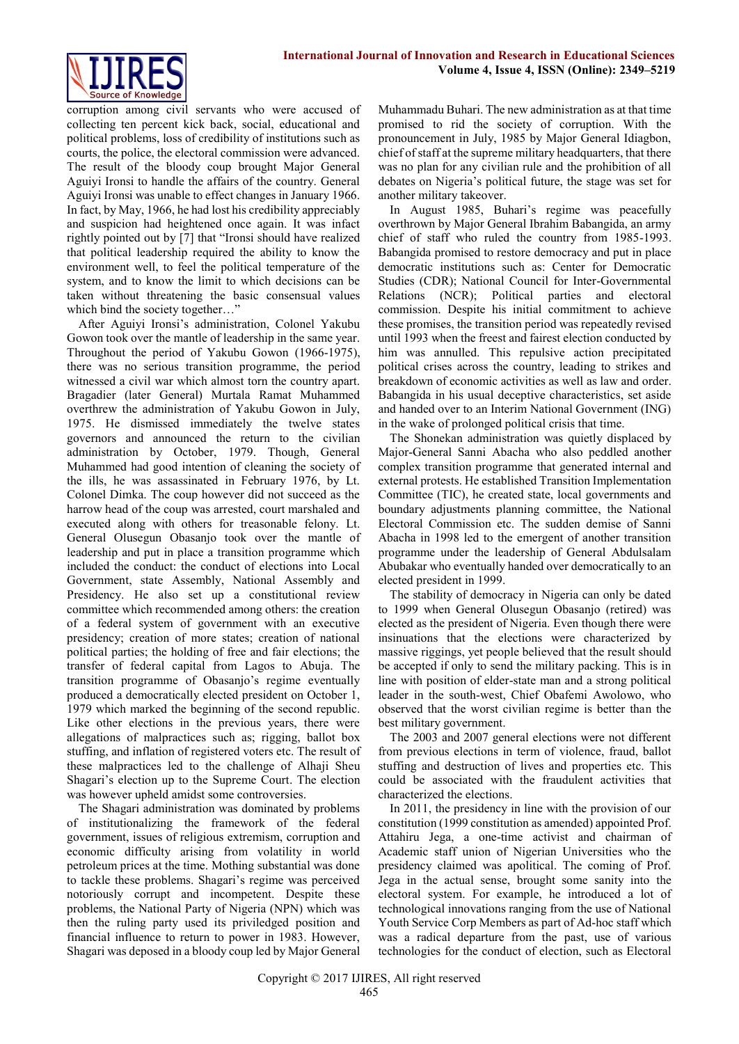

corruption among civil servants who were accused of collecting ten percent kick back, social, educational and political problems, loss of credibility of institutions such as courts, the police, the electoral commission were advanced. The result of the bloody coup brought Major General Aguiyi Ironsi to handle the affairs of the country. General Aguiyi Ironsi was unable to effect changes in January 1966. In fact, by May, 1966, he had lost his credibility appreciably and suspicion had heightened once again. It was infact rightly pointed out by [7] that "Ironsi should have realized that political leadership required the ability to know the environment well, to feel the political temperature of the system, and to know the limit to which decisions can be taken without threatening the basic consensual values which bind the society together…"

After Aguiyi Ironsi's administration, Colonel Yakubu Gowon took over the mantle of leadership in the same year. Throughout the period of Yakubu Gowon (1966-1975), there was no serious transition programme, the period witnessed a civil war which almost torn the country apart. Bragadier (later General) Murtala Ramat Muhammed overthrew the administration of Yakubu Gowon in July, 1975. He dismissed immediately the twelve states governors and announced the return to the civilian administration by October, 1979. Though, General Muhammed had good intention of cleaning the society of the ills, he was assassinated in February 1976, by Lt. Colonel Dimka. The coup however did not succeed as the harrow head of the coup was arrested, court marshaled and executed along with others for treasonable felony. Lt. General Olusegun Obasanjo took over the mantle of leadership and put in place a transition programme which included the conduct: the conduct of elections into Local Government, state Assembly, National Assembly and Presidency. He also set up a constitutional review committee which recommended among others: the creation of a federal system of government with an executive presidency; creation of more states; creation of national political parties; the holding of free and fair elections; the transfer of federal capital from Lagos to Abuja. The transition programme of Obasanjo's regime eventually produced a democratically elected president on October 1, 1979 which marked the beginning of the second republic. Like other elections in the previous years, there were allegations of malpractices such as; rigging, ballot box stuffing, and inflation of registered voters etc. The result of these malpractices led to the challenge of Alhaji Sheu Shagari's election up to the Supreme Court. The election was however upheld amidst some controversies.

The Shagari administration was dominated by problems of institutionalizing the framework of the federal government, issues of religious extremism, corruption and economic difficulty arising from volatility in world petroleum prices at the time. Mothing substantial was done to tackle these problems. Shagari's regime was perceived notoriously corrupt and incompetent. Despite these problems, the National Party of Nigeria (NPN) which was then the ruling party used its priviledged position and financial influence to return to power in 1983. However, Shagari was deposed in a bloody coup led by Major General

Muhammadu Buhari. The new administration as at that time promised to rid the society of corruption. With the pronouncement in July, 1985 by Major General Idiagbon, chief of staff at the supreme military headquarters, that there was no plan for any civilian rule and the prohibition of all debates on Nigeria's political future, the stage was set for another military takeover.

In August 1985, Buhari's regime was peacefully overthrown by Major General Ibrahim Babangida, an army chief of staff who ruled the country from 1985-1993. Babangida promised to restore democracy and put in place democratic institutions such as: Center for Democratic Studies (CDR); National Council for Inter-Governmental Relations (NCR); Political parties and electoral commission. Despite his initial commitment to achieve these promises, the transition period was repeatedly revised until 1993 when the freest and fairest election conducted by him was annulled. This repulsive action precipitated political crises across the country, leading to strikes and breakdown of economic activities as well as law and order. Babangida in his usual deceptive characteristics, set aside and handed over to an Interim National Government (ING) in the wake of prolonged political crisis that time.

The Shonekan administration was quietly displaced by Major-General Sanni Abacha who also peddled another complex transition programme that generated internal and external protests. He established Transition Implementation Committee (TIC), he created state, local governments and boundary adjustments planning committee, the National Electoral Commission etc. The sudden demise of Sanni Abacha in 1998 led to the emergent of another transition programme under the leadership of General Abdulsalam Abubakar who eventually handed over democratically to an elected president in 1999.

The stability of democracy in Nigeria can only be dated to 1999 when General Olusegun Obasanjo (retired) was elected as the president of Nigeria. Even though there were insinuations that the elections were characterized by massive riggings, yet people believed that the result should be accepted if only to send the military packing. This is in line with position of elder-state man and a strong political leader in the south-west, Chief Obafemi Awolowo, who observed that the worst civilian regime is better than the best military government.

The 2003 and 2007 general elections were not different from previous elections in term of violence, fraud, ballot stuffing and destruction of lives and properties etc. This could be associated with the fraudulent activities that characterized the elections.

In 2011, the presidency in line with the provision of our constitution (1999 constitution as amended) appointed Prof. Attahiru Jega, a one-time activist and chairman of Academic staff union of Nigerian Universities who the presidency claimed was apolitical. The coming of Prof. Jega in the actual sense, brought some sanity into the electoral system. For example, he introduced a lot of technological innovations ranging from the use of National Youth Service Corp Members as part of Ad-hoc staff which was a radical departure from the past, use of various technologies for the conduct of election, such as Electoral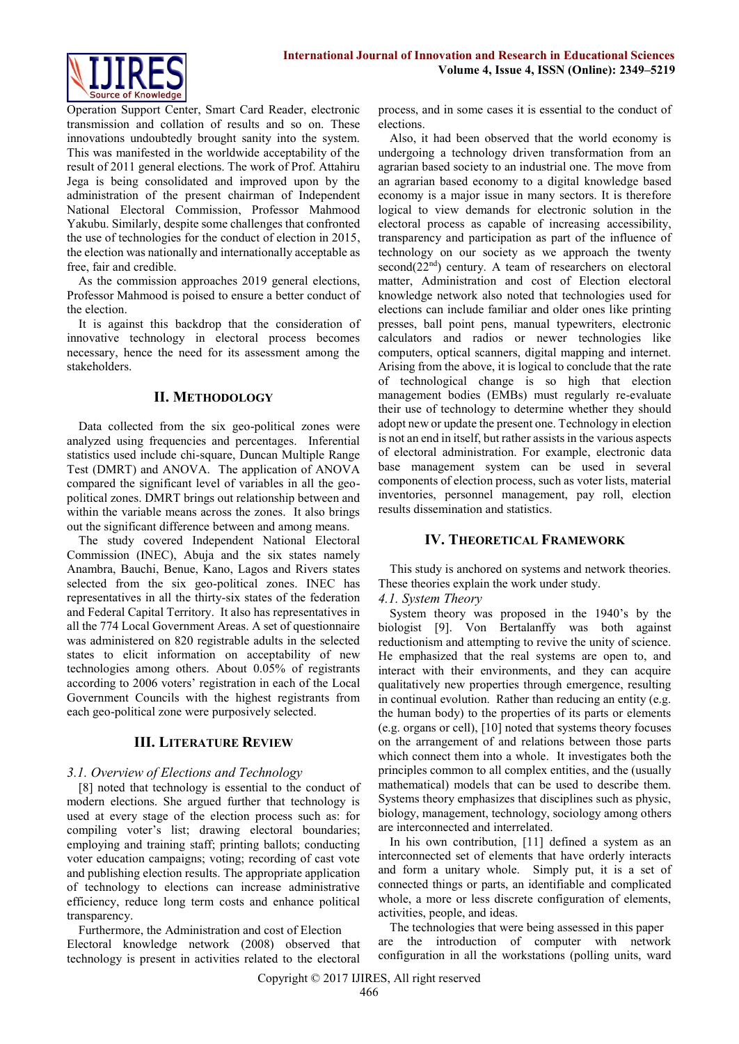

Operation Support Center, Smart Card Reader, electronic transmission and collation of results and so on. These innovations undoubtedly brought sanity into the system. This was manifested in the worldwide acceptability of the result of 2011 general elections. The work of Prof. Attahiru Jega is being consolidated and improved upon by the administration of the present chairman of Independent National Electoral Commission, Professor Mahmood Yakubu. Similarly, despite some challenges that confronted the use of technologies for the conduct of election in 2015, the election was nationally and internationally acceptable as free, fair and credible.

As the commission approaches 2019 general elections, Professor Mahmood is poised to ensure a better conduct of the election.

It is against this backdrop that the consideration of innovative technology in electoral process becomes necessary, hence the need for its assessment among the stakeholders.

## **II. METHODOLOGY**

Data collected from the six geo-political zones were analyzed using frequencies and percentages. Inferential statistics used include chi-square, Duncan Multiple Range Test (DMRT) and ANOVA. The application of ANOVA compared the significant level of variables in all the geopolitical zones. DMRT brings out relationship between and within the variable means across the zones. It also brings out the significant difference between and among means.

The study covered Independent National Electoral Commission (INEC), Abuja and the six states namely Anambra, Bauchi, Benue, Kano, Lagos and Rivers states selected from the six geo-political zones. INEC has representatives in all the thirty-six states of the federation and Federal Capital Territory. It also has representatives in all the 774 Local Government Areas. A set of questionnaire was administered on 820 registrable adults in the selected states to elicit information on acceptability of new technologies among others. About 0.05% of registrants according to 2006 voters' registration in each of the Local Government Councils with the highest registrants from each geo-political zone were purposively selected.

#### **III. LITERATURE REVIEW**

#### *3.1. Overview of Elections and Technology*

[8] noted that technology is essential to the conduct of modern elections. She argued further that technology is used at every stage of the election process such as: for compiling voter's list; drawing electoral boundaries; employing and training staff; printing ballots; conducting voter education campaigns; voting; recording of cast vote and publishing election results. The appropriate application of technology to elections can increase administrative efficiency, reduce long term costs and enhance political transparency.

Furthermore, the Administration and cost of Election Electoral knowledge network (2008) observed that technology is present in activities related to the electoral

process, and in some cases it is essential to the conduct of elections.

Also, it had been observed that the world economy is undergoing a technology driven transformation from an agrarian based society to an industrial one. The move from an agrarian based economy to a digital knowledge based economy is a major issue in many sectors. It is therefore logical to view demands for electronic solution in the electoral process as capable of increasing accessibility, transparency and participation as part of the influence of technology on our society as we approach the twenty second(22<sup>nd</sup>) century. A team of researchers on electoral matter, Administration and cost of Election electoral knowledge network also noted that technologies used for elections can include familiar and older ones like printing presses, ball point pens, manual typewriters, electronic calculators and radios or newer technologies like computers, optical scanners, digital mapping and internet. Arising from the above, it is logical to conclude that the rate of technological change is so high that election management bodies (EMBs) must regularly re-evaluate their use of technology to determine whether they should adopt new or update the present one. Technology in election is not an end in itself, but rather assists in the various aspects of electoral administration. For example, electronic data base management system can be used in several components of election process, such as voter lists, material inventories, personnel management, pay roll, election results dissemination and statistics.

## **IV. THEORETICAL FRAMEWORK**

This study is anchored on systems and network theories. These theories explain the work under study.

#### *4.1. System Theory*

System theory was proposed in the 1940's by the biologist [9]. Von Bertalanffy was both against reductionism and attempting to revive the unity of science. He emphasized that the real systems are open to, and interact with their environments, and they can acquire qualitatively new properties through emergence, resulting in continual evolution. Rather than reducing an entity (e.g. the human body) to the properties of its parts or elements (e.g. organs or cell), [10] noted that systems theory focuses on the arrangement of and relations between those parts which connect them into a whole. It investigates both the principles common to all complex entities, and the (usually mathematical) models that can be used to describe them. Systems theory emphasizes that disciplines such as physic, biology, management, technology, sociology among others are interconnected and interrelated.

In his own contribution, [11] defined a system as an interconnected set of elements that have orderly interacts and form a unitary whole. Simply put, it is a set of connected things or parts, an identifiable and complicated whole, a more or less discrete configuration of elements, activities, people, and ideas.

The technologies that were being assessed in this paper are the introduction of computer with network configuration in all the workstations (polling units, ward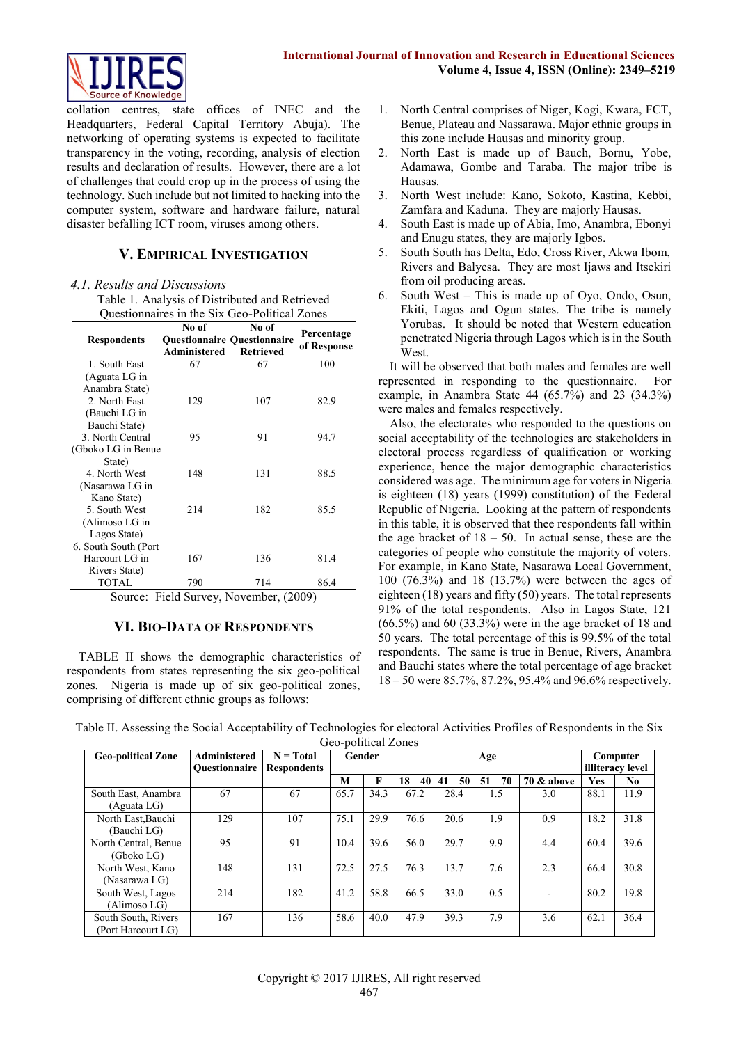

collation centres, state offices of INEC and the Headquarters, Federal Capital Territory Abuja). The networking of operating systems is expected to facilitate transparency in the voting, recording, analysis of election results and declaration of results. However, there are a lot of challenges that could crop up in the process of using the technology. Such include but not limited to hacking into the computer system, software and hardware failure, natural disaster befalling ICT room, viruses among others.

## **V. EMPIRICAL INVESTIGATION**

#### *4.1. Results and Discussions*

Table 1. Analysis of Distributed and Retrieved Questionnaires in the Six Geo-Political Zones

|                      | No of        | No of                              |                           |
|----------------------|--------------|------------------------------------|---------------------------|
| <b>Respondents</b>   |              | <b>Ouestionnaire Ouestionnaire</b> | Percentage<br>of Response |
|                      | Administered | <b>Retrieved</b>                   |                           |
| 1. South East        | 67           | 67                                 | 100                       |
| (Aguata LG in        |              |                                    |                           |
| Anambra State)       |              |                                    |                           |
| 2. North East        | 129          | 107                                | 82.9                      |
| (Bauchi LG in        |              |                                    |                           |
| Bauchi State)        |              |                                    |                           |
| 3. North Central     | 95           | 91                                 | 94.7                      |
| (Gboko LG in Benue)  |              |                                    |                           |
| State)               |              |                                    |                           |
| 4. North West        | 148          | 131                                | 88.5                      |
| (Nasarawa LG in      |              |                                    |                           |
| Kano State)          |              |                                    |                           |
| 5. South West        | 214          | 182                                | 85.5                      |
| (Alimoso LG in       |              |                                    |                           |
| Lagos State)         |              |                                    |                           |
| 6. South South (Port |              |                                    |                           |
| Harcourt LG in       | 167          | 136                                | 81.4                      |
| Rivers State)        |              |                                    |                           |
| <b>TOTAL</b>         | 790          | 714                                | 86.4                      |
| $\sim$               | F: 110       | <b>AT</b><br>$\mathbf{1}$          | (0.00)                    |

Source: Field Survey, November, (2009)

#### **VI. BIO-DATA OF RESPONDENTS**

TABLE II shows the demographic characteristics of respondents from states representing the six geo-political zones. Nigeria is made up of six geo-political zones, comprising of different ethnic groups as follows:

- 1. North Central comprises of Niger, Kogi, Kwara, FCT, Benue, Plateau and Nassarawa. Major ethnic groups in this zone include Hausas and minority group.
- 2. North East is made up of Bauch, Bornu, Yobe, Adamawa, Gombe and Taraba. The major tribe is Hausas.
- 3. North West include: Kano, Sokoto, Kastina, Kebbi, Zamfara and Kaduna. They are majorly Hausas.
- 4. South East is made up of Abia, Imo, Anambra, Ebonyi and Enugu states, they are majorly Igbos.
- 5. South South has Delta, Edo, Cross River, Akwa Ibom, Rivers and Balyesa. They are most Ijaws and Itsekiri from oil producing areas.
- 6. South West This is made up of Oyo, Ondo, Osun, Ekiti, Lagos and Ogun states. The tribe is namely Yorubas. It should be noted that Western education penetrated Nigeria through Lagos which is in the South West.

It will be observed that both males and females are well represented in responding to the questionnaire. For example, in Anambra State  $44$  (65.7%) and 23 (34.3%) were males and females respectively.

Also, the electorates who responded to the questions on social acceptability of the technologies are stakeholders in electoral process regardless of qualification or working experience, hence the major demographic characteristics considered was age. The minimum age for voters in Nigeria is eighteen (18) years (1999) constitution) of the Federal Republic of Nigeria. Looking at the pattern of respondents in this table, it is observed that thee respondents fall within the age bracket of  $18 - 50$ . In actual sense, these are the categories of people who constitute the majority of voters. For example, in Kano State, Nasarawa Local Government, 100 (76.3%) and 18 (13.7%) were between the ages of eighteen (18) years and fifty (50) years. The total represents 91% of the total respondents. Also in Lagos State, 121 (66.5%) and 60 (33.3%) were in the age bracket of 18 and 50 years. The total percentage of this is 99.5% of the total respondents. The same is true in Benue, Rivers, Anambra and Bauchi states where the total percentage of age bracket 18 – 50 were 85.7%, 87.2%, 95.4% and 96.6% respectively.

| Table II. Assessing the Social Acceptability of Technologies for electoral Activities Profiles of Respondents in the Six |  |
|--------------------------------------------------------------------------------------------------------------------------|--|
| Geo-political Zones                                                                                                      |  |

| <b>Geo-political Zone</b>                 | Administered<br><b>Ouestionnaire</b> | $N = Total$<br><b>Respondents</b> | Gender<br>Age |      |      |                    | Computer<br>illiteracy level |            |      |      |
|-------------------------------------------|--------------------------------------|-----------------------------------|---------------|------|------|--------------------|------------------------------|------------|------|------|
|                                           |                                      |                                   | M             | F    |      | $18 - 40$  41 - 50 | $51 - 70$                    | 70 & above | Yes  | No.  |
| South East, Anambra<br>(Aguata LG)        | 67                                   | 67                                | 65.7          | 34.3 | 67.2 | 28.4               | 1.5                          | 3.0        | 88.1 | 11.9 |
| North East, Bauchi<br>(Bauchi LG)         | 129                                  | 107                               | 75.1          | 29.9 | 76.6 | 20.6               | 1.9                          | 0.9        | 18.2 | 31.8 |
| North Central, Benue<br>(Gboko LG)        | 95                                   | 91                                | 10.4          | 39.6 | 56.0 | 29.7               | 9.9                          | 4.4        | 60.4 | 39.6 |
| North West, Kano<br>(Nasarawa LG)         | 148                                  | 131                               | 72.5          | 27.5 | 76.3 | 13.7               | 7.6                          | 2.3        | 66.4 | 30.8 |
| South West, Lagos<br>(Alimoso LG)         | 214                                  | 182                               | 41.2          | 58.8 | 66.5 | 33.0               | 0.5                          |            | 80.2 | 19.8 |
| South South, Rivers<br>(Port Harcourt LG) | 167                                  | 136                               | 58.6          | 40.0 | 47.9 | 39.3               | 7.9                          | 3.6        | 62.1 | 36.4 |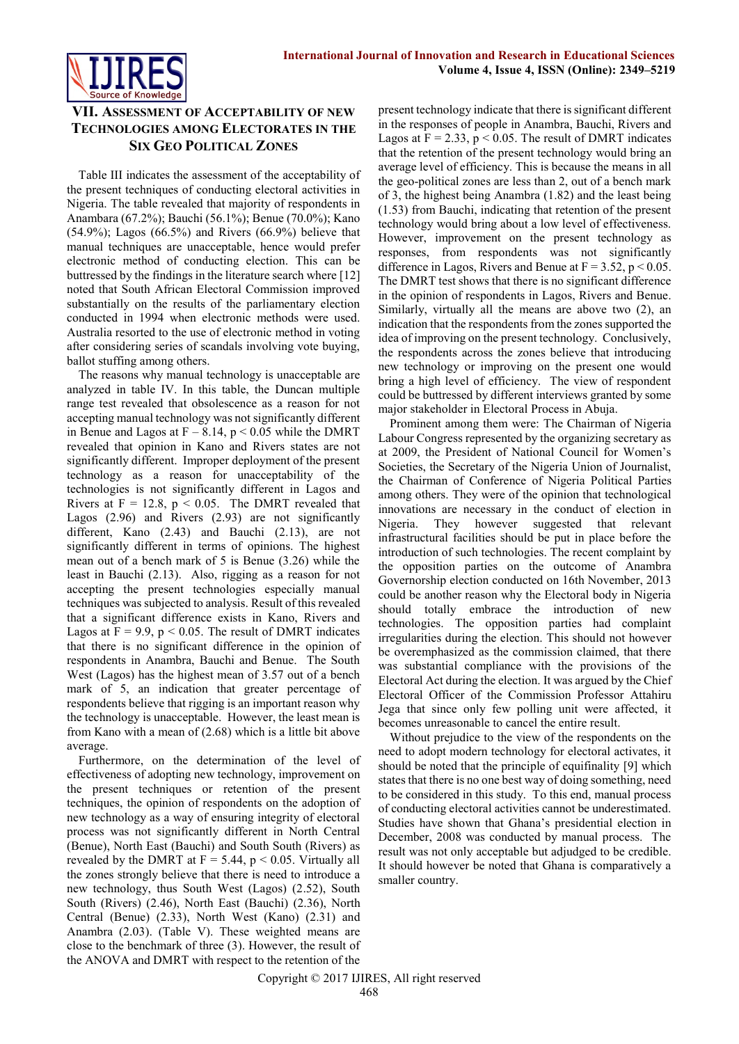

## **VII. ASSESSMENT OF ACCEPTABILITY OF NEW TECHNOLOGIES AMONG ELECTORATES IN THE SIX GEO POLITICAL ZONES**

Table III indicates the assessment of the acceptability of the present techniques of conducting electoral activities in Nigeria. The table revealed that majority of respondents in Anambara (67.2%); Bauchi (56.1%); Benue (70.0%); Kano (54.9%); Lagos (66.5%) and Rivers (66.9%) believe that manual techniques are unacceptable, hence would prefer electronic method of conducting election. This can be buttressed by the findings in the literature search where [12] noted that South African Electoral Commission improved substantially on the results of the parliamentary election conducted in 1994 when electronic methods were used. Australia resorted to the use of electronic method in voting after considering series of scandals involving vote buying, ballot stuffing among others.

The reasons why manual technology is unacceptable are analyzed in table IV. In this table, the Duncan multiple range test revealed that obsolescence as a reason for not accepting manual technology was not significantly different in Benue and Lagos at  $F - 8.14$ ,  $p < 0.05$  while the DMRT revealed that opinion in Kano and Rivers states are not significantly different. Improper deployment of the present technology as a reason for unacceptability of the technologies is not significantly different in Lagos and Rivers at  $F = 12.8$ ,  $p < 0.05$ . The DMRT revealed that Lagos (2.96) and Rivers (2.93) are not significantly different, Kano (2.43) and Bauchi (2.13), are not significantly different in terms of opinions. The highest mean out of a bench mark of 5 is Benue (3.26) while the least in Bauchi (2.13). Also, rigging as a reason for not accepting the present technologies especially manual techniques was subjected to analysis. Result of this revealed that a significant difference exists in Kano, Rivers and Lagos at  $F = 9.9$ ,  $p \le 0.05$ . The result of DMRT indicates that there is no significant difference in the opinion of respondents in Anambra, Bauchi and Benue. The South West (Lagos) has the highest mean of 3.57 out of a bench mark of 5, an indication that greater percentage of respondents believe that rigging is an important reason why the technology is unacceptable. However, the least mean is from Kano with a mean of (2.68) which is a little bit above average.

Furthermore, on the determination of the level of effectiveness of adopting new technology, improvement on the present techniques or retention of the present techniques, the opinion of respondents on the adoption of new technology as a way of ensuring integrity of electoral process was not significantly different in North Central (Benue), North East (Bauchi) and South South (Rivers) as revealed by the DMRT at  $F = 5.44$ ,  $p < 0.05$ . Virtually all the zones strongly believe that there is need to introduce a new technology, thus South West (Lagos) (2.52), South South (Rivers) (2.46), North East (Bauchi) (2.36), North Central (Benue) (2.33), North West (Kano) (2.31) and Anambra (2.03). (Table V). These weighted means are close to the benchmark of three (3). However, the result of the ANOVA and DMRT with respect to the retention of the

present technology indicate that there is significant different in the responses of people in Anambra, Bauchi, Rivers and Lagos at  $F = 2.33$ ,  $p \le 0.05$ . The result of DMRT indicates that the retention of the present technology would bring an average level of efficiency. This is because the means in all the geo-political zones are less than 2, out of a bench mark of 3, the highest being Anambra (1.82) and the least being (1.53) from Bauchi, indicating that retention of the present technology would bring about a low level of effectiveness. However, improvement on the present technology as responses, from respondents was not significantly difference in Lagos, Rivers and Benue at  $F = 3.52$ ,  $p < 0.05$ . The DMRT test shows that there is no significant difference in the opinion of respondents in Lagos, Rivers and Benue. Similarly, virtually all the means are above two (2), an indication that the respondents from the zones supported the idea of improving on the present technology. Conclusively, the respondents across the zones believe that introducing new technology or improving on the present one would bring a high level of efficiency. The view of respondent could be buttressed by different interviews granted by some major stakeholder in Electoral Process in Abuja.

Prominent among them were: The Chairman of Nigeria Labour Congress represented by the organizing secretary as at 2009, the President of National Council for Women's Societies, the Secretary of the Nigeria Union of Journalist, the Chairman of Conference of Nigeria Political Parties among others. They were of the opinion that technological innovations are necessary in the conduct of election in Nigeria. They however suggested that relevant infrastructural facilities should be put in place before the introduction of such technologies. The recent complaint by the opposition parties on the outcome of Anambra Governorship election conducted on 16th November, 2013 could be another reason why the Electoral body in Nigeria should totally embrace the introduction of new technologies. The opposition parties had complaint irregularities during the election. This should not however be overemphasized as the commission claimed, that there was substantial compliance with the provisions of the Electoral Act during the election. It was argued by the Chief Electoral Officer of the Commission Professor Attahiru Jega that since only few polling unit were affected, it becomes unreasonable to cancel the entire result.

Without prejudice to the view of the respondents on the need to adopt modern technology for electoral activates, it should be noted that the principle of equifinality [9] which states that there is no one best way of doing something, need to be considered in this study. To this end, manual process of conducting electoral activities cannot be underestimated. Studies have shown that Ghana's presidential election in December, 2008 was conducted by manual process. The result was not only acceptable but adjudged to be credible. It should however be noted that Ghana is comparatively a smaller country.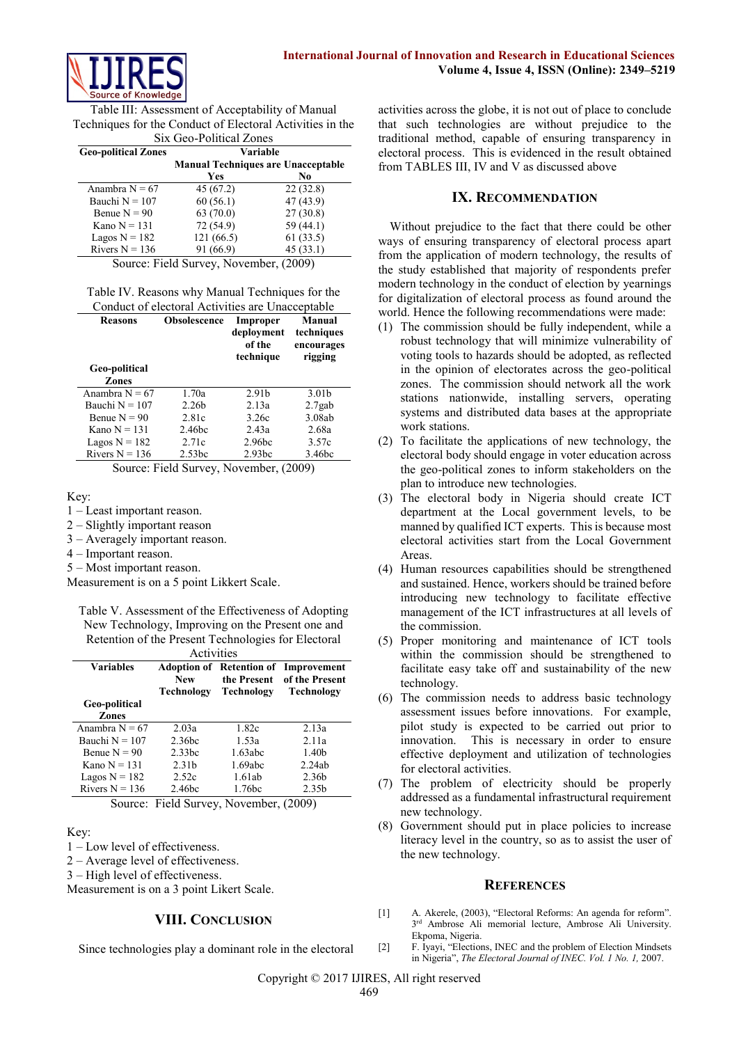

Table III: Assessment of Acceptability of Manual Techniques for the Conduct of Electoral Activities in the

| Six Geo-Political Zones    |                                           |              |  |
|----------------------------|-------------------------------------------|--------------|--|
| <b>Geo-political Zones</b> |                                           | Variable     |  |
|                            | <b>Manual Techniques are Unacceptable</b> |              |  |
|                            | Yes                                       | No           |  |
| Anambra $N = 67$           | 45(67.2)                                  | 22(32.8)     |  |
| Bauchi $N = 107$           | 60(56.1)                                  | 47(43.9)     |  |
| Benue $N = 90$             | 63 (70.0)                                 | 27(30.8)     |  |
| Kano $N = 131$             | 72 (54.9)                                 | 59(44.1)     |  |
| Lagos $N = 182$            | 121(66.5)                                 | 61(33.5)     |  |
| Rivers $N = 136$           | 91 (66.9)                                 | 45(33.1)     |  |
| $\sim$                     | $\mathbf{r}$ 11 $\alpha$<br>$\mathbf{r}$  | 1.<br>(0.00) |  |

Source: Field Survey, November, (2009)

Table IV. Reasons why Manual Techniques for the Conduct of electoral Activities are Unacceptable

| <b>Reasons</b>   | <b>Obsolescence</b> | Improper<br>deployment<br>of the<br>technique | Manual<br>techniques<br>encourages<br>rigging |  |
|------------------|---------------------|-----------------------------------------------|-----------------------------------------------|--|
| Geo-political    |                     |                                               |                                               |  |
| Zones            |                     |                                               |                                               |  |
| Anambra $N = 67$ | 1.70a               | 2.91 <sub>b</sub>                             | 3.01b                                         |  |
| Bauchi $N = 107$ | 2.26 <sub>b</sub>   | 2.13a                                         | $2.7$ gab                                     |  |
| Benue $N = 90$   | 2.81c               | 3.26c                                         | 3.08ab                                        |  |
| Kano $N = 131$   | 2.46bc              | 2.43a                                         | 2.68a                                         |  |
| Lagos $N = 182$  | 2.71c               | 2.96bc                                        | 3.57c                                         |  |
| Rivers $N = 136$ | 2.53bc              | 2.93bc                                        | 3.46bc                                        |  |

Source: Field Survey, November, (2009)

Key:

- 1 Least important reason.
- 2 Slightly important reason
- 3 Averagely important reason.
- 4 Important reason.
- 5 Most important reason.

Measurement is on a 5 point Likkert Scale.

Table V. Assessment of the Effectiveness of Adopting New Technology, Improving on the Present one and Retention of the Present Technologies for Electoral

| Activities       |                          |                                                              |                                                    |  |
|------------------|--------------------------|--------------------------------------------------------------|----------------------------------------------------|--|
| <b>Variables</b> | <b>New</b><br>Technology | <b>Adoption of</b> Retention of<br>the Present<br>Technology | Improvement<br>of the Present<br><b>Technology</b> |  |
| Geo-political    |                          |                                                              |                                                    |  |
| Zones            |                          |                                                              |                                                    |  |
| Anambra $N = 67$ | 2.03a                    | 1.82c                                                        | 2.13a                                              |  |
| Bauchi $N = 107$ | 2.36bc                   | 1.53a                                                        | 2.11a                                              |  |
| Benue $N = 90$   | 2.33bc                   | 1.63abc                                                      | 1.40b                                              |  |
| Kano $N = 131$   | 2.31 <sub>b</sub>        | 1.69abc                                                      | 2.24ab                                             |  |
| Lagos $N = 182$  | 2.52c                    | 1.61ab                                                       | 2.36b                                              |  |
| Rivers $N = 136$ | 2.46bc                   | 1.76bc                                                       | 2.35 <sub>b</sub>                                  |  |
| $\sim$           | $\mathbf{E}$ 11 $\alpha$ | $\mathbf{r}$ 1                                               | (0.000)                                            |  |

Source: Field Survey, November, (2009)

Key:

1 – Low level of effectiveness.

2 – Average level of effectiveness.

3 – High level of effectiveness.

Measurement is on a 3 point Likert Scale.

## **VIII. CONCLUSION**

Since technologies play a dominant role in the electoral

activities across the globe, it is not out of place to conclude that such technologies are without prejudice to the traditional method, capable of ensuring transparency in electoral process. This is evidenced in the result obtained from TABLES III, IV and V as discussed above

#### **IX. RECOMMENDATION**

Without prejudice to the fact that there could be other ways of ensuring transparency of electoral process apart from the application of modern technology, the results of the study established that majority of respondents prefer modern technology in the conduct of election by yearnings for digitalization of electoral process as found around the world. Hence the following recommendations were made:

- (1) The commission should be fully independent, while a robust technology that will minimize vulnerability of voting tools to hazards should be adopted, as reflected in the opinion of electorates across the geo-political zones. The commission should network all the work stations nationwide, installing servers, operating systems and distributed data bases at the appropriate work stations.
- (2) To facilitate the applications of new technology, the electoral body should engage in voter education across the geo-political zones to inform stakeholders on the plan to introduce new technologies.
- (3) The electoral body in Nigeria should create ICT department at the Local government levels, to be manned by qualified ICT experts. This is because most electoral activities start from the Local Government Areas.
- (4) Human resources capabilities should be strengthened and sustained. Hence, workers should be trained before introducing new technology to facilitate effective management of the ICT infrastructures at all levels of the commission.
- (5) Proper monitoring and maintenance of ICT tools within the commission should be strengthened to facilitate easy take off and sustainability of the new technology.
- (6) The commission needs to address basic technology assessment issues before innovations. For example, pilot study is expected to be carried out prior to innovation. This is necessary in order to ensure effective deployment and utilization of technologies for electoral activities.
- (7) The problem of electricity should be properly addressed as a fundamental infrastructural requirement new technology.
- (8) Government should put in place policies to increase literacy level in the country, so as to assist the user of the new technology.

#### **REFERENCES**

- [1] A. Akerele, (2003), "Electoral Reforms: An agenda for reform". 3<sup>rd</sup> Ambrose Ali memorial lecture, Ambrose Ali University. Ekpoma, Nigeria.
- [2] F. Iyayi, "Elections, INEC and the problem of Election Mindsets in Nigeria", *The Electoral Journal of INEC. Vol. 1 No. 1,* 2007.